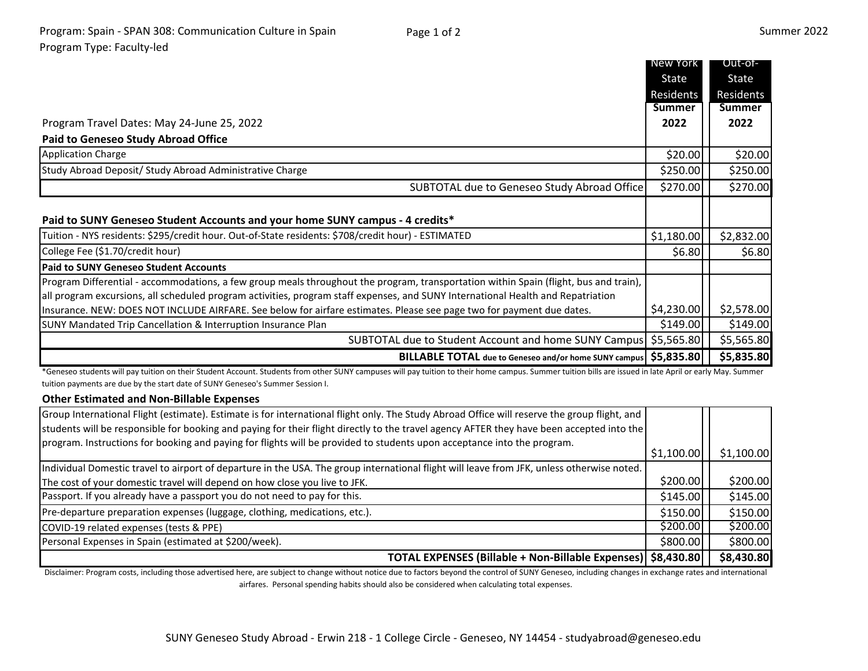|                                                                                                                                                                                                                                                           | New York      | Out-of-       |
|-----------------------------------------------------------------------------------------------------------------------------------------------------------------------------------------------------------------------------------------------------------|---------------|---------------|
|                                                                                                                                                                                                                                                           | State         | State         |
|                                                                                                                                                                                                                                                           | Residents     | Residents     |
|                                                                                                                                                                                                                                                           | <b>Summer</b> | <b>Summer</b> |
| Program Travel Dates: May 24-June 25, 2022                                                                                                                                                                                                                | 2022          | 2022          |
| <b>Paid to Geneseo Study Abroad Office</b>                                                                                                                                                                                                                |               |               |
| <b>Application Charge</b>                                                                                                                                                                                                                                 | \$20.00       | \$20.00       |
| Study Abroad Deposit/ Study Abroad Administrative Charge                                                                                                                                                                                                  | \$250.00      | \$250.00      |
| SUBTOTAL due to Geneseo Study Abroad Office                                                                                                                                                                                                               | \$270.00      | \$270.00      |
| Paid to SUNY Geneseo Student Accounts and your home SUNY campus - 4 credits*                                                                                                                                                                              |               |               |
| Tuition - NYS residents: \$295/credit hour. Out-of-State residents: \$708/credit hour) - ESTIMATED                                                                                                                                                        | \$1,180.00    | \$2,832.00    |
| College Fee (\$1.70/credit hour)                                                                                                                                                                                                                          | \$6.80        | \$6.80        |
| <b>Paid to SUNY Geneseo Student Accounts</b>                                                                                                                                                                                                              |               |               |
| Program Differential - accommodations, a few group meals throughout the program, transportation within Spain (flight, bus and train),                                                                                                                     |               |               |
| all program excursions, all scheduled program activities, program staff expenses, and SUNY International Health and Repatriation<br>Insurance. NEW: DOES NOT INCLUDE AIRFARE. See below for airfare estimates. Please see page two for payment due dates. | \$4,230.00    | \$2,578.00    |
| SUNY Mandated Trip Cancellation & Interruption Insurance Plan                                                                                                                                                                                             | \$149.00      | \$149.00      |
| SUBTOTAL due to Student Account and home SUNY Campus \$5,565.80                                                                                                                                                                                           |               | \$5,565.80    |
| BILLABLE TOTAL due to Geneseo and/or home SUNY campus \$5,835.80                                                                                                                                                                                          |               | \$5,835.80    |
| *Geneseo students will pay tuition on their Student Account. Students from other SUNY campuses will pay tuition to their home campus. Summer tuition bills are issued in late April or early May. Summer                                                  |               |               |
| tuition payments are due by the start date of SUNY Geneseo's Summer Session I.                                                                                                                                                                            |               |               |

## **Other Estimated and Non-Billable Expenses**

| Group International Flight (estimate). Estimate is for international flight only. The Study Abroad Office will reserve the group flight, and |            |            |
|----------------------------------------------------------------------------------------------------------------------------------------------|------------|------------|
| students will be responsible for booking and paying for their flight directly to the travel agency AFTER they have been accepted into the    |            |            |
| program. Instructions for booking and paying for flights will be provided to students upon acceptance into the program.                      |            |            |
|                                                                                                                                              | \$1,100.00 | \$1,100.00 |
| Individual Domestic travel to airport of departure in the USA. The group international flight will leave from JFK, unless otherwise noted.   |            |            |
| The cost of your domestic travel will depend on how close you live to JFK.                                                                   | \$200.00   | \$200.00   |
| Passport. If you already have a passport you do not need to pay for this.                                                                    | \$145.00   | \$145.00   |
| Pre-departure preparation expenses (luggage, clothing, medications, etc.).                                                                   | \$150.00   | \$150.00   |
| COVID-19 related expenses (tests & PPE)                                                                                                      | \$200.00   | \$200.00]  |
| Personal Expenses in Spain (estimated at \$200/week).                                                                                        | \$800.00   | \$800.00   |
| TOTAL EXPENSES (Billable + Non-Billable Expenses)   \$8,430.80                                                                               |            | \$8,430.80 |

Disclaimer: Program costs, including those advertised here, are subject to change without notice due to factors beyond the control of SUNY Geneseo, including changes in exchange rates and international airfares. Personal spending habits should also be considered when calculating total expenses.